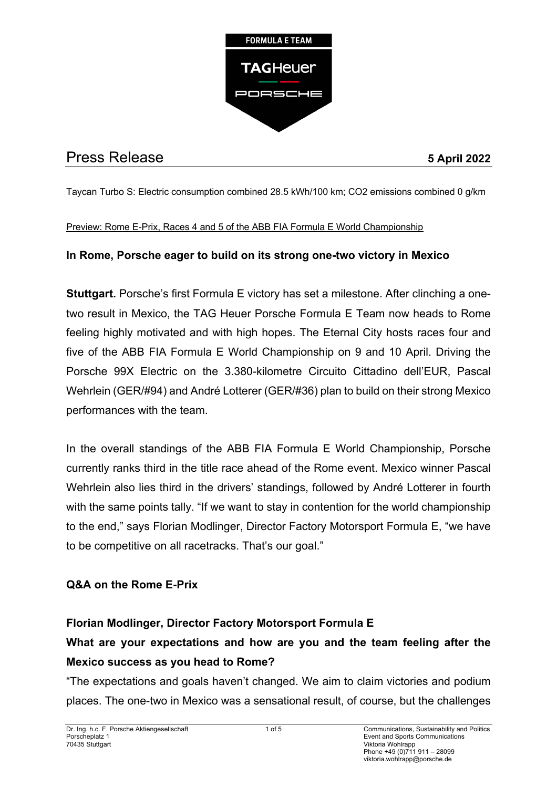

# Press Release **5 April 2022**

Taycan Turbo S: Electric consumption combined 28.5 kWh/100 km; CO2 emissions combined 0 g/km

#### Preview: Rome E-Prix, Races 4 and 5 of the ABB FIA Formula E World Championship

## **In Rome, Porsche eager to build on its strong one-two victory in Mexico**

**Stuttgart.** Porsche's first Formula E victory has set a milestone. After clinching a onetwo result in Mexico, the TAG Heuer Porsche Formula E Team now heads to Rome feeling highly motivated and with high hopes. The Eternal City hosts races four and five of the ABB FIA Formula E World Championship on 9 and 10 April. Driving the Porsche 99X Electric on the 3.380-kilometre Circuito Cittadino dell'EUR, Pascal Wehrlein (GER/#94) and André Lotterer (GER/#36) plan to build on their strong Mexico performances with the team.

In the overall standings of the ABB FIA Formula E World Championship, Porsche currently ranks third in the title race ahead of the Rome event. Mexico winner Pascal Wehrlein also lies third in the drivers' standings, followed by André Lotterer in fourth with the same points tally. "If we want to stay in contention for the world championship to the end," says Florian Modlinger, Director Factory Motorsport Formula E, "we have to be competitive on all racetracks. That's our goal."

## **Q&A on the Rome E-Prix**

## **Florian Modlinger, Director Factory Motorsport Formula E**

## **What are your expectations and how are you and the team feeling after the Mexico success as you head to Rome?**

"The expectations and goals haven't changed. We aim to claim victories and podium places. The one-two in Mexico was a sensational result, of course, but the challenges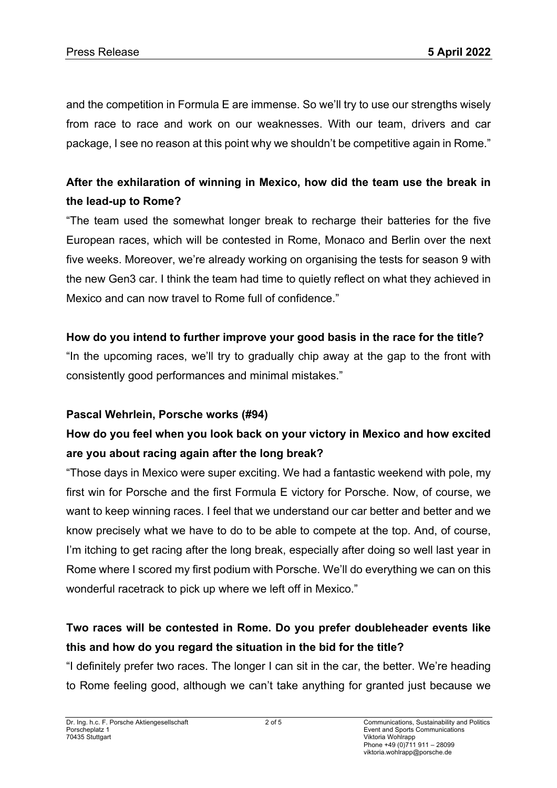and the competition in Formula E are immense. So we'll try to use our strengths wisely from race to race and work on our weaknesses. With our team, drivers and car package, I see no reason at this point why we shouldn't be competitive again in Rome."

## **After the exhilaration of winning in Mexico, how did the team use the break in the lead-up to Rome?**

"The team used the somewhat longer break to recharge their batteries for the five European races, which will be contested in Rome, Monaco and Berlin over the next five weeks. Moreover, we're already working on organising the tests for season 9 with the new Gen3 car. I think the team had time to quietly reflect on what they achieved in Mexico and can now travel to Rome full of confidence."

## **How do you intend to further improve your good basis in the race for the title?**

"In the upcoming races, we'll try to gradually chip away at the gap to the front with consistently good performances and minimal mistakes."

## **Pascal Wehrlein, Porsche works (#94)**

## **How do you feel when you look back on your victory in Mexico and how excited are you about racing again after the long break?**

"Those days in Mexico were super exciting. We had a fantastic weekend with pole, my first win for Porsche and the first Formula E victory for Porsche. Now, of course, we want to keep winning races. I feel that we understand our car better and better and we know precisely what we have to do to be able to compete at the top. And, of course, I'm itching to get racing after the long break, especially after doing so well last year in Rome where I scored my first podium with Porsche. We'll do everything we can on this wonderful racetrack to pick up where we left off in Mexico."

## **Two races will be contested in Rome. Do you prefer doubleheader events like this and how do you regard the situation in the bid for the title?**

"I definitely prefer two races. The longer I can sit in the car, the better. We're heading to Rome feeling good, although we can't take anything for granted just because we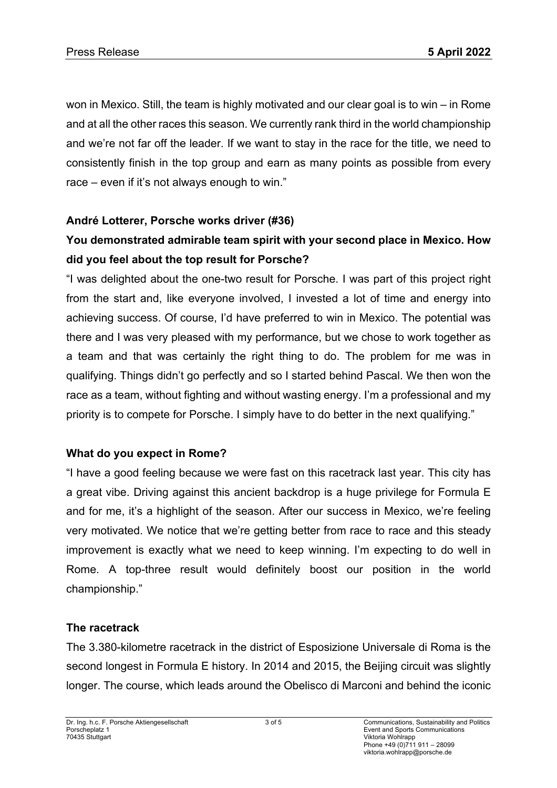won in Mexico. Still, the team is highly motivated and our clear goal is to win – in Rome and at all the other races this season. We currently rank third in the world championship and we're not far off the leader. If we want to stay in the race for the title, we need to consistently finish in the top group and earn as many points as possible from every race – even if it's not always enough to win."

## **André Lotterer, Porsche works driver (#36)**

## **You demonstrated admirable team spirit with your second place in Mexico. How did you feel about the top result for Porsche?**

"I was delighted about the one-two result for Porsche. I was part of this project right from the start and, like everyone involved, I invested a lot of time and energy into achieving success. Of course, I'd have preferred to win in Mexico. The potential was there and I was very pleased with my performance, but we chose to work together as a team and that was certainly the right thing to do. The problem for me was in qualifying. Things didn't go perfectly and so I started behind Pascal. We then won the race as a team, without fighting and without wasting energy. I'm a professional and my priority is to compete for Porsche. I simply have to do better in the next qualifying."

## **What do you expect in Rome?**

"I have a good feeling because we were fast on this racetrack last year. This city has a great vibe. Driving against this ancient backdrop is a huge privilege for Formula E and for me, it's a highlight of the season. After our success in Mexico, we're feeling very motivated. We notice that we're getting better from race to race and this steady improvement is exactly what we need to keep winning. I'm expecting to do well in Rome. A top-three result would definitely boost our position in the world championship."

## **The racetrack**

The 3.380-kilometre racetrack in the district of Esposizione Universale di Roma is the second longest in Formula E history. In 2014 and 2015, the Beijing circuit was slightly longer. The course, which leads around the Obelisco di Marconi and behind the iconic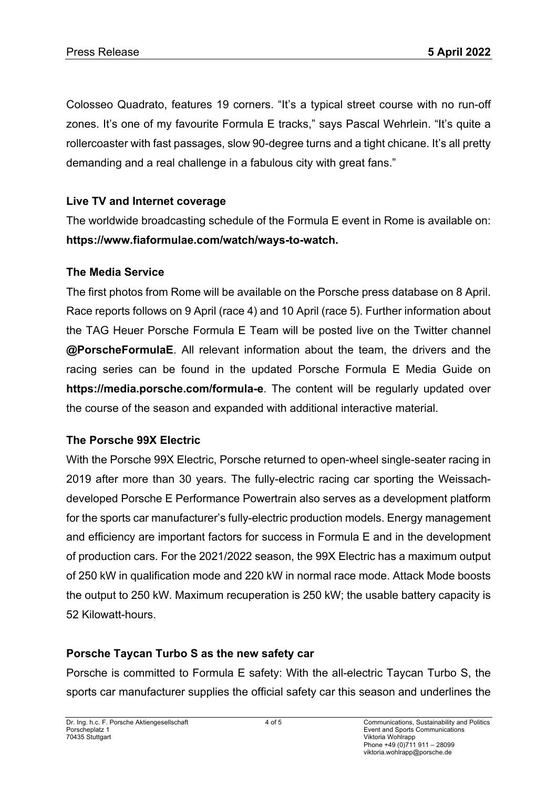Colosseo Quadrato, features 19 corners. "It's a typical street course with no run-off zones. It's one of my favourite Formula E tracks," says Pascal Wehrlein. "It's quite a rollercoaster with fast passages, slow 90-degree turns and a tight chicane. It's all pretty demanding and a real challenge in a fabulous city with great fans."

## **Live TV and Internet coverage**

The worldwide broadcasting schedule of the Formula E event in Rome is available on: **https://www.fiaformulae.com/watch/ways-to-watch.**

## **The Media Service**

The first photos from Rome will be available on the Porsche press database on 8 April. Race reports follows on 9 April (race 4) and 10 April (race 5). Further information about the TAG Heuer Porsche Formula E Team will be posted live on the Twitter channel **@PorscheFormulaE**. All relevant information about the team, the drivers and the racing series can be found in the updated Porsche Formula E Media Guide on **https://media.porsche.com/formula-e**. The content will be regularly updated over the course of the season and expanded with additional interactive material.

## **The Porsche 99X Electric**

With the Porsche 99X Electric, Porsche returned to open-wheel single-seater racing in 2019 after more than 30 years. The fully-electric racing car sporting the Weissachdeveloped Porsche E Performance Powertrain also serves as a development platform for the sports car manufacturer's fully-electric production models. Energy management and efficiency are important factors for success in Formula E and in the development of production cars. For the 2021/2022 season, the 99X Electric has a maximum output of 250 kW in qualification mode and 220 kW in normal race mode. Attack Mode boosts the output to 250 kW. Maximum recuperation is 250 kW; the usable battery capacity is 52 Kilowatt-hours.

## **Porsche Taycan Turbo S as the new safety car**

Porsche is committed to Formula E safety: With the all-electric Taycan Turbo S, the sports car manufacturer supplies the official safety car this season and underlines the